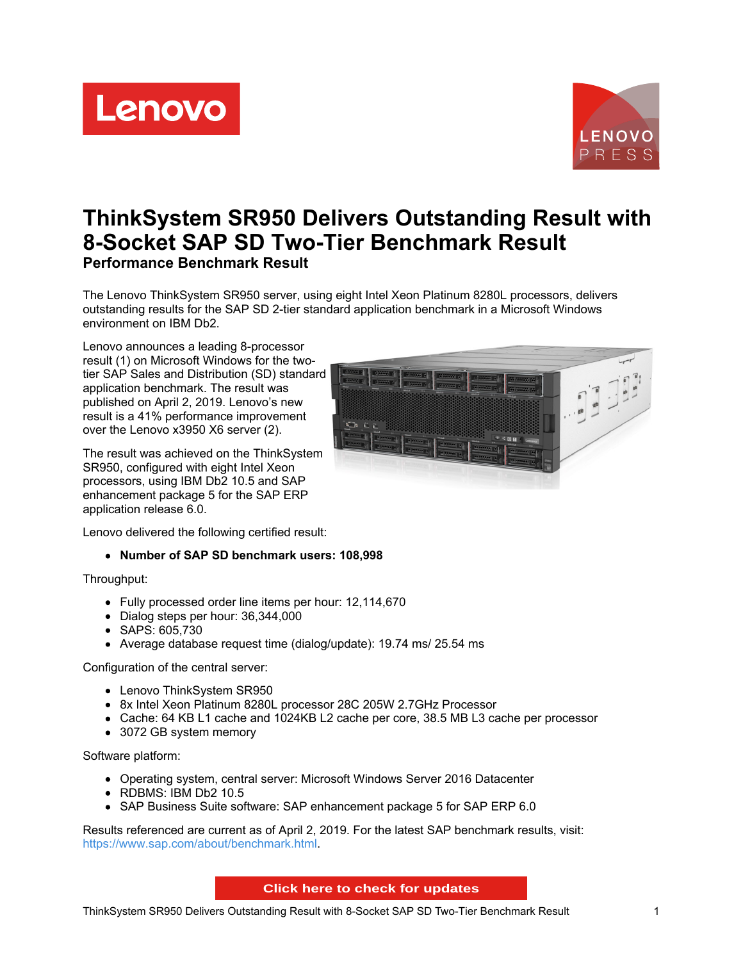Lenovo



# **ThinkSystem SR950 Delivers Outstanding Result with 8-Socket SAP SD Two-Tier Benchmark Result Performance Benchmark Result**

The Lenovo ThinkSystem SR950 server, using eight Intel Xeon Platinum 8280L processors, delivers outstanding results for the SAP SD 2-tier standard application benchmark in a Microsoft Windows environment on IBM Db2.

Lenovo announces a leading 8-processor result (1) on Microsoft Windows for the twotier SAP Sales and Distribution (SD) standard application benchmark. The result was published on April 2, 2019. Lenovo's new result is a 41% performance improvement over the Lenovo x3950 X6 server (2).

The result was achieved on the ThinkSystem SR950, configured with eight Intel Xeon processors, using IBM Db2 10.5 and SAP enhancement package 5 for the SAP ERP application release 6.0.



Lenovo delivered the following certified result:

#### **Number of SAP SD benchmark users: 108,998**

Throughput:

- Fully processed order line items per hour: 12,114,670
- Dialog steps per hour: 36,344,000
- SAPS: 605,730
- Average database request time (dialog/update): 19.74 ms/ 25.54 ms

Configuration of the central server:

- Lenovo ThinkSystem SR950
- 8x Intel Xeon Platinum 8280L processor 28C 205W 2.7GHz Processor
- Cache: 64 KB L1 cache and 1024KB L2 cache per core, 38.5 MB L3 cache per processor
- 3072 GB system memory

Software platform:

- Operating system, central server: Microsoft Windows Server 2016 Datacenter
- RDBMS: IBM Db2 10.5
- SAP Business Suite software: SAP enhancement package 5 for SAP ERP 6.0

Results referenced are current as of April 2, 2019. For the latest SAP benchmark results, visit: <https://www.sap.com/about/benchmark.html>.

**Click here to check for updates**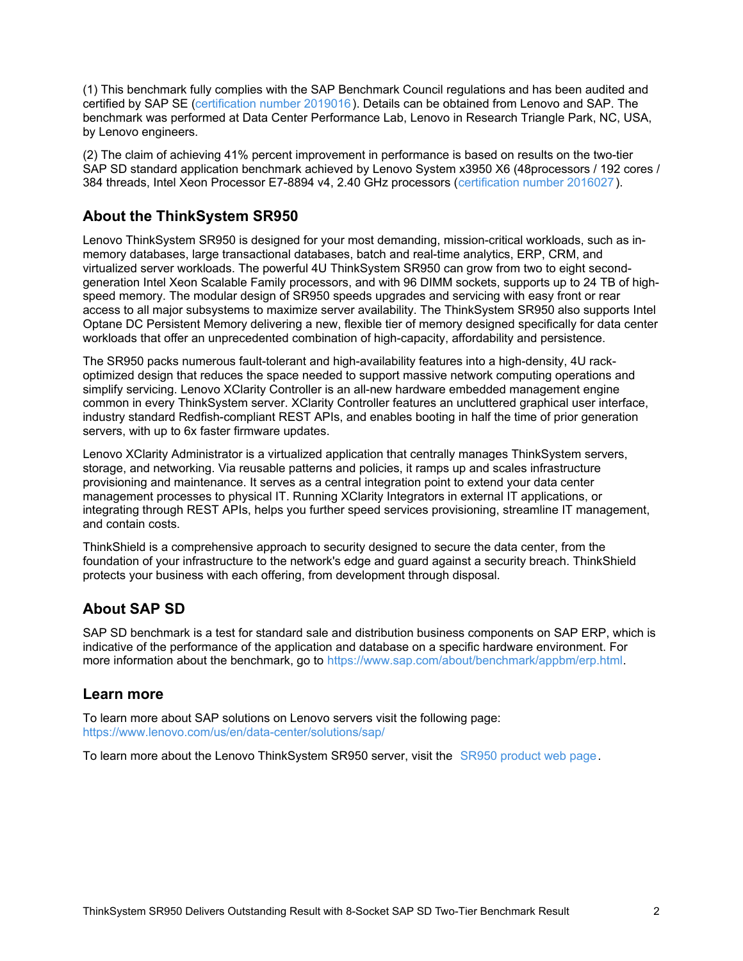(1) This benchmark fully complies with the SAP Benchmark Council regulations and has been audited and certified by SAP SE [\(certification](http://www.sap.com/dmc/benchmark/2019/Cert19016.pdf) number 2019016). Details can be obtained from Lenovo and SAP. The benchmark was performed at Data Center Performance Lab, Lenovo in Research Triangle Park, NC, USA, by Lenovo engineers.

(2) The claim of achieving 41% percent improvement in performance is based on results on the two-tier SAP SD standard application benchmark achieved by Lenovo System x3950 X6 (48processors / 192 cores / 384 threads, Intel Xeon Processor E7-8894 v4, 2.40 GHz processors [\(certification](https://www.sap.com/dmc/benchmark/2017/Cert17002.pdf) number 2016027).

## **About the ThinkSystem SR950**

Lenovo ThinkSystem SR950 is designed for your most demanding, mission-critical workloads, such as inmemory databases, large transactional databases, batch and real-time analytics, ERP, CRM, and virtualized server workloads. The powerful 4U ThinkSystem SR950 can grow from two to eight secondgeneration Intel Xeon Scalable Family processors, and with 96 DIMM sockets, supports up to 24 TB of highspeed memory. The modular design of SR950 speeds upgrades and servicing with easy front or rear access to all major subsystems to maximize server availability. The ThinkSystem SR950 also supports Intel Optane DC Persistent Memory delivering a new, flexible tier of memory designed specifically for data center workloads that offer an unprecedented combination of high-capacity, affordability and persistence.

The SR950 packs numerous fault-tolerant and high-availability features into a high-density, 4U rackoptimized design that reduces the space needed to support massive network computing operations and simplify servicing. Lenovo XClarity Controller is an all-new hardware embedded management engine common in every ThinkSystem server. XClarity Controller features an uncluttered graphical user interface, industry standard Redfish-compliant REST APIs, and enables booting in half the time of prior generation servers, with up to 6x faster firmware updates.

Lenovo XClarity Administrator is a virtualized application that centrally manages ThinkSystem servers, storage, and networking. Via reusable patterns and policies, it ramps up and scales infrastructure provisioning and maintenance. It serves as a central integration point to extend your data center management processes to physical IT. Running XClarity Integrators in external IT applications, or integrating through REST APIs, helps you further speed services provisioning, streamline IT management, and contain costs.

ThinkShield is a comprehensive approach to security designed to secure the data center, from the foundation of your infrastructure to the network's edge and guard against a security breach. ThinkShield protects your business with each offering, from development through disposal.

## **About SAP SD**

SAP SD benchmark is a test for standard sale and distribution business components on SAP ERP, which is indicative of the performance of the application and database on a specific hardware environment. For more information about the benchmark, go to <https://www.sap.com/about/benchmark/appbm/erp.html>.

#### **Learn more**

To learn more about SAP solutions on Lenovo servers visit the following page: <https://www.lenovo.com/us/en/data-center/solutions/sap/>

To learn more about the Lenovo ThinkSystem SR950 server, visit the SR950 [product](https://www.lenovo.com/us/en/data-center/servers/mission-critical/Lenovo-ThinkSystem-SR950/p/77XX7HSSR95) web page.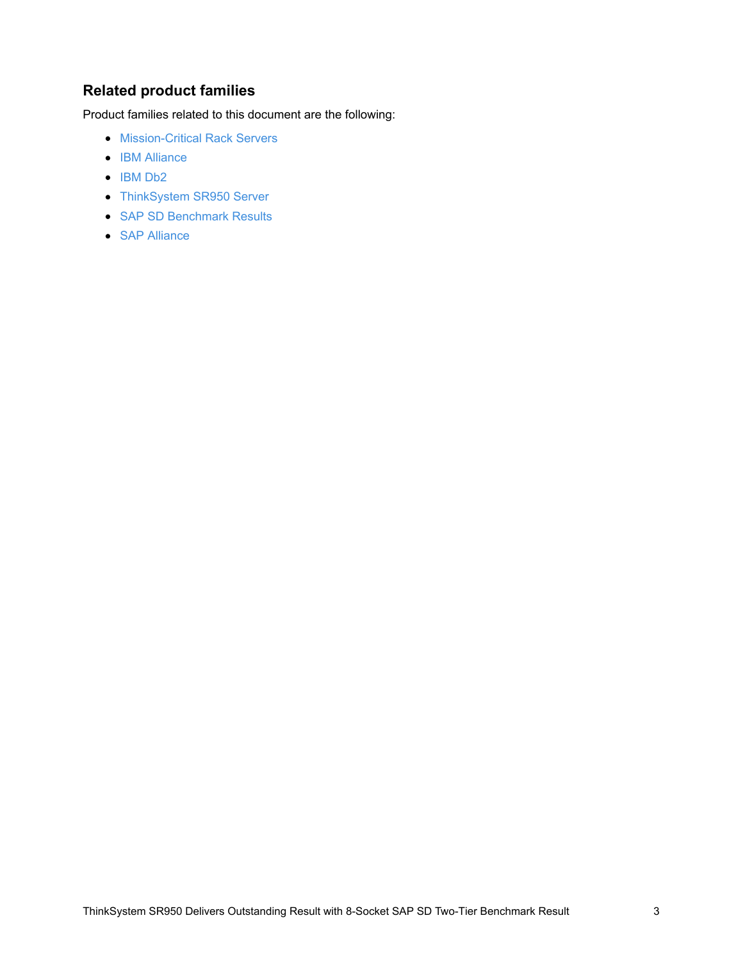# **Related product families**

Product families related to this document are the following:

- **[Mission-Critical](https://lenovopress.com/servers/mission-critical/rack) Rack Servers**
- IBM [Alliance](https://lenovopress.com/software/alliances/ibm)
- $\bullet$  [IBM](https://lenovopress.com/software/database/db2) Db2
- [ThinkSystem](https://lenovopress.com/servers/thinksystem/sr950) SR950 Server
- SAP SD [Benchmark](https://lenovopress.com/servers/benchmarks/sap-sd) Results
- SAP [Alliance](https://lenovopress.com/software/alliances/sap)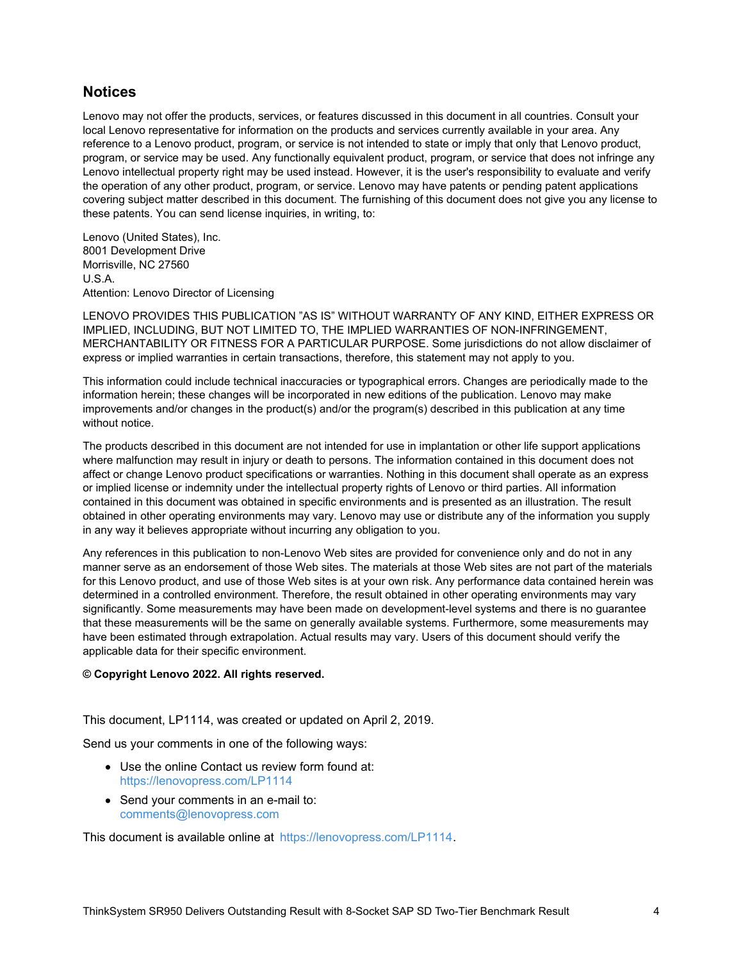#### **Notices**

Lenovo may not offer the products, services, or features discussed in this document in all countries. Consult your local Lenovo representative for information on the products and services currently available in your area. Any reference to a Lenovo product, program, or service is not intended to state or imply that only that Lenovo product, program, or service may be used. Any functionally equivalent product, program, or service that does not infringe any Lenovo intellectual property right may be used instead. However, it is the user's responsibility to evaluate and verify the operation of any other product, program, or service. Lenovo may have patents or pending patent applications covering subject matter described in this document. The furnishing of this document does not give you any license to these patents. You can send license inquiries, in writing, to:

Lenovo (United States), Inc. 8001 Development Drive Morrisville, NC 27560 U.S.A. Attention: Lenovo Director of Licensing

LENOVO PROVIDES THIS PUBLICATION "AS IS" WITHOUT WARRANTY OF ANY KIND, EITHER EXPRESS OR IMPLIED, INCLUDING, BUT NOT LIMITED TO, THE IMPLIED WARRANTIES OF NON-INFRINGEMENT, MERCHANTABILITY OR FITNESS FOR A PARTICULAR PURPOSE. Some jurisdictions do not allow disclaimer of express or implied warranties in certain transactions, therefore, this statement may not apply to you.

This information could include technical inaccuracies or typographical errors. Changes are periodically made to the information herein; these changes will be incorporated in new editions of the publication. Lenovo may make improvements and/or changes in the product(s) and/or the program(s) described in this publication at any time without notice.

The products described in this document are not intended for use in implantation or other life support applications where malfunction may result in injury or death to persons. The information contained in this document does not affect or change Lenovo product specifications or warranties. Nothing in this document shall operate as an express or implied license or indemnity under the intellectual property rights of Lenovo or third parties. All information contained in this document was obtained in specific environments and is presented as an illustration. The result obtained in other operating environments may vary. Lenovo may use or distribute any of the information you supply in any way it believes appropriate without incurring any obligation to you.

Any references in this publication to non-Lenovo Web sites are provided for convenience only and do not in any manner serve as an endorsement of those Web sites. The materials at those Web sites are not part of the materials for this Lenovo product, and use of those Web sites is at your own risk. Any performance data contained herein was determined in a controlled environment. Therefore, the result obtained in other operating environments may vary significantly. Some measurements may have been made on development-level systems and there is no guarantee that these measurements will be the same on generally available systems. Furthermore, some measurements may have been estimated through extrapolation. Actual results may vary. Users of this document should verify the applicable data for their specific environment.

#### **© Copyright Lenovo 2022. All rights reserved.**

This document, LP1114, was created or updated on April 2, 2019.

Send us your comments in one of the following ways:

- Use the online Contact us review form found at: <https://lenovopress.com/LP1114>
- Send your comments in an e-mail to: [comments@lenovopress.com](mailto:comments@lenovopress.com?subject=Feedback for LP1114)

This document is available online at <https://lenovopress.com/LP1114>.